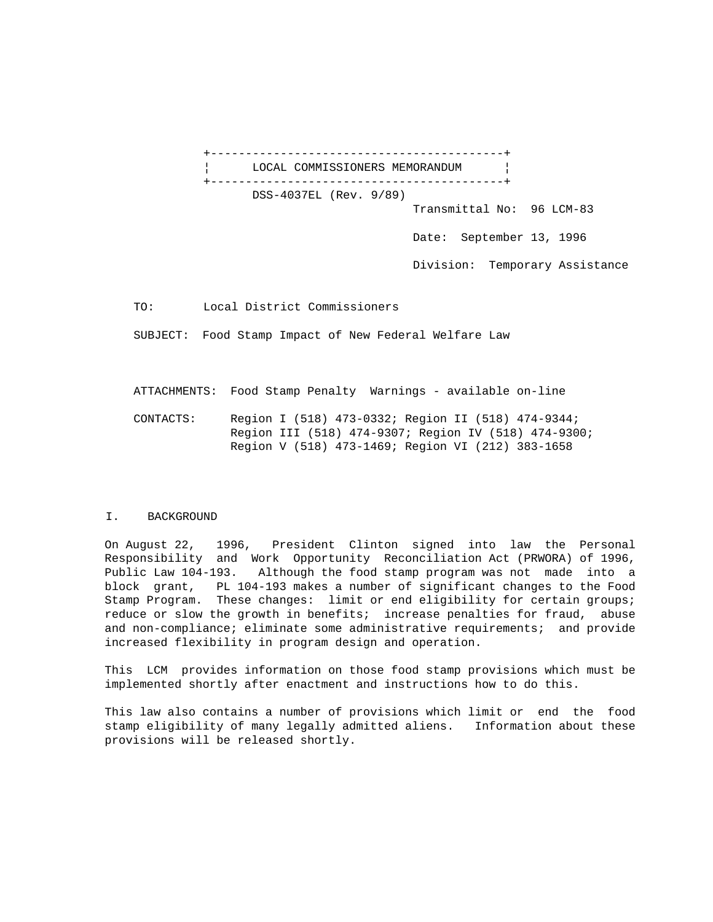+------------------------------------------+ LOCAL COMMISSIONERS MEMORANDUM | +------------------------------------------+ DSS-4037EL (Rev. 9/89)

Transmittal No: 96 LCM-83

Date: September 13, 1996

Division: Temporary Assistance

TO: Local District Commissioners

SUBJECT: Food Stamp Impact of New Federal Welfare Law

ATTACHMENTS: Food Stamp Penalty Warnings - available on-line

 CONTACTS: Region I (518) 473-0332; Region II (518) 474-9344; Region III (518) 474-9307; Region IV (518) 474-9300; Region V (518) 473-1469; Region VI (212) 383-1658

## I. BACKGROUND

On August 22, 1996, President Clinton signed into law the Personal Responsibility and Work Opportunity Reconciliation Act (PRWORA) of 1996, Public Law 104-193. Although the food stamp program was not made into a block grant, PL 104-193 makes a number of significant changes to the Food Stamp Program. These changes: limit or end eligibility for certain groups; reduce or slow the growth in benefits; increase penalties for fraud, abuse and non-compliance; eliminate some administrative requirements; and provide increased flexibility in program design and operation.

This LCM provides information on those food stamp provisions which must be implemented shortly after enactment and instructions how to do this.

This law also contains a number of provisions which limit or end the food stamp eligibility of many legally admitted aliens. Information about these provisions will be released shortly.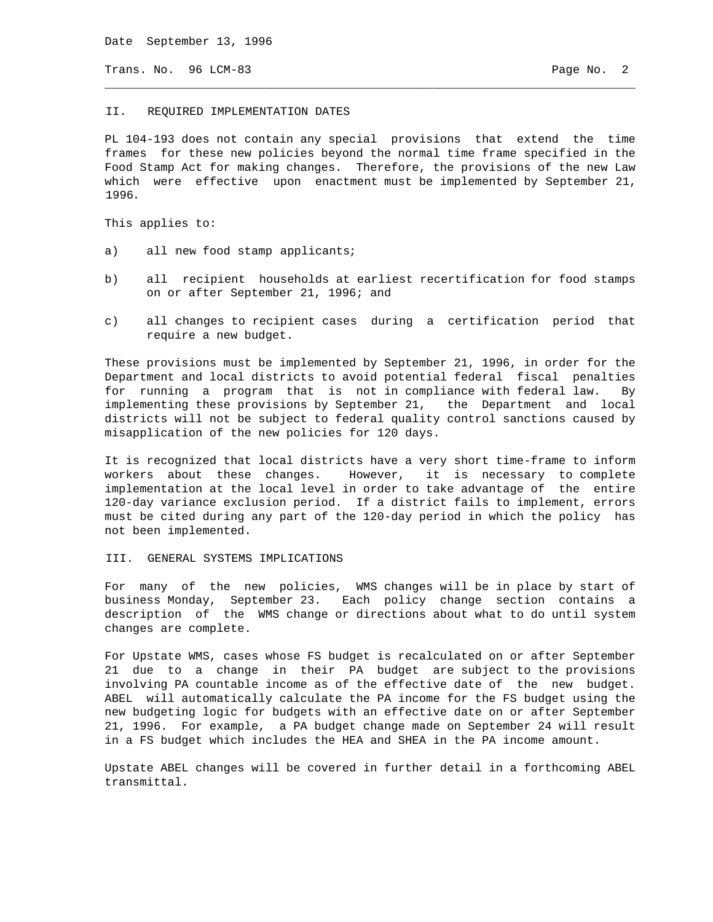Date September 13, 1996

Trans. No. 96 LCM-83 **Page No. 2** 

#### II. REQUIRED IMPLEMENTATION DATES

PL 104-193 does not contain any special provisions that extend the time frames for these new policies beyond the normal time frame specified in the Food Stamp Act for making changes. Therefore, the provisions of the new Law which were effective upon enactment must be implemented by September 21, 1996.

\_\_\_\_\_\_\_\_\_\_\_\_\_\_\_\_\_\_\_\_\_\_\_\_\_\_\_\_\_\_\_\_\_\_\_\_\_\_\_\_\_\_\_\_\_\_\_\_\_\_\_\_\_\_\_\_\_\_\_\_\_\_\_\_\_\_\_\_\_\_\_\_\_\_\_\_

This applies to:

- a) all new food stamp applicants;
- b) all recipient households at earliest recertification for food stamps on or after September 21, 1996; and
- c) all changes to recipient cases during a certification period that require a new budget.

These provisions must be implemented by September 21, 1996, in order for the Department and local districts to avoid potential federal fiscal penalties for running a program that is not in compliance with federal law. By implementing these provisions by September 21, the Department and local districts will not be subject to federal quality control sanctions caused by misapplication of the new policies for 120 days.

It is recognized that local districts have a very short time-frame to inform workers about these changes. However, it is necessary to complete implementation at the local level in order to take advantage of the entire 120-day variance exclusion period. If a district fails to implement, errors must be cited during any part of the 120-day period in which the policy has not been implemented.

III. GENERAL SYSTEMS IMPLICATIONS

For many of the new policies, WMS changes will be in place by start of business Monday, September 23. Each policy change section contains a description of the WMS change or directions about what to do until system changes are complete.

For Upstate WMS, cases whose FS budget is recalculated on or after September 21 due to a change in their PA budget are subject to the provisions involving PA countable income as of the effective date of the new budget. ABEL will automatically calculate the PA income for the FS budget using the new budgeting logic for budgets with an effective date on or after September 21, 1996. For example, a PA budget change made on September 24 will result in a FS budget which includes the HEA and SHEA in the PA income amount.

Upstate ABEL changes will be covered in further detail in a forthcoming ABEL transmittal.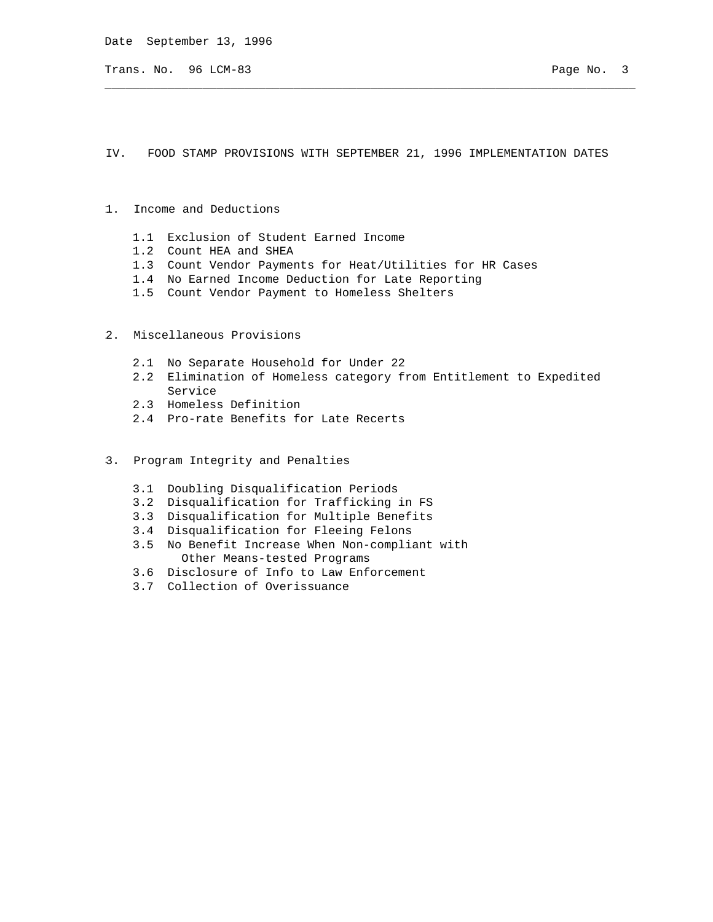Date September 13, 1996

Trans. No. 96 LCM-83 **Page No. 3** 

IV. FOOD STAMP PROVISIONS WITH SEPTEMBER 21, 1996 IMPLEMENTATION DATES

\_\_\_\_\_\_\_\_\_\_\_\_\_\_\_\_\_\_\_\_\_\_\_\_\_\_\_\_\_\_\_\_\_\_\_\_\_\_\_\_\_\_\_\_\_\_\_\_\_\_\_\_\_\_\_\_\_\_\_\_\_\_\_\_\_\_\_\_\_\_\_\_\_\_\_\_

- 1. Income and Deductions
	- 1.1 Exclusion of Student Earned Income
	- 1.2 Count HEA and SHEA
	- 1.3 Count Vendor Payments for Heat/Utilities for HR Cases
	- 1.4 No Earned Income Deduction for Late Reporting
	- 1.5 Count Vendor Payment to Homeless Shelters
- 2. Miscellaneous Provisions
	- 2.1 No Separate Household for Under 22
	- 2.2 Elimination of Homeless category from Entitlement to Expedited Service
	- 2.3 Homeless Definition
	- 2.4 Pro-rate Benefits for Late Recerts
- 3. Program Integrity and Penalties
	- 3.1 Doubling Disqualification Periods
	- 3.2 Disqualification for Trafficking in FS
	- 3.3 Disqualification for Multiple Benefits
	- 3.4 Disqualification for Fleeing Felons
	- 3.5 No Benefit Increase When Non-compliant with Other Means-tested Programs
	- 3.6 Disclosure of Info to Law Enforcement
	- 3.7 Collection of Overissuance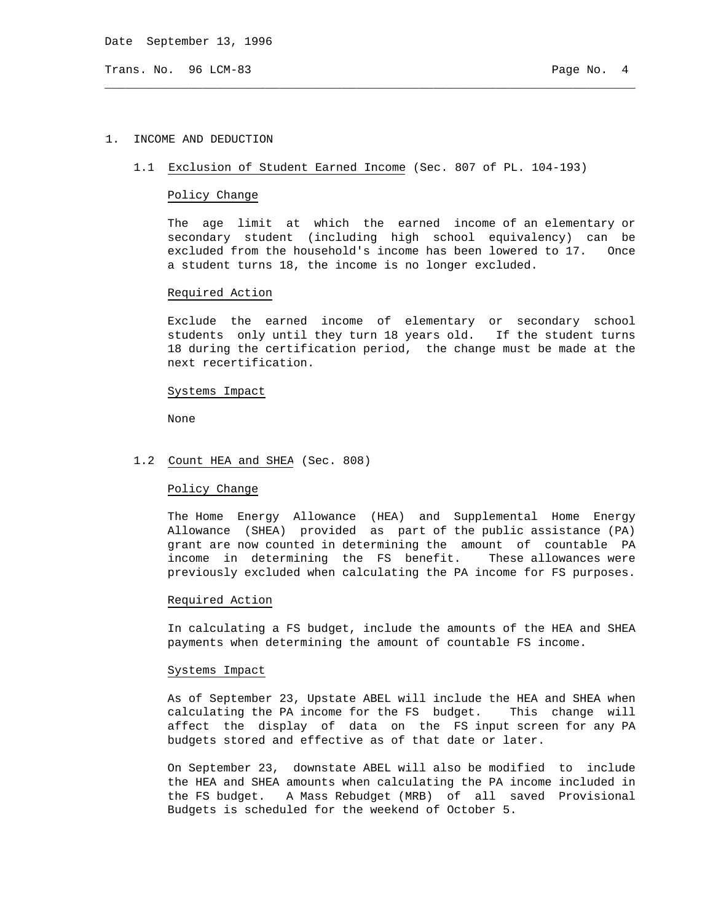Date September 13, 1996

Trans. No. 96 LCM-83 **Page No. 4** 

## 1. INCOME AND DEDUCTION

## 1.1 Exclusion of Student Earned Income (Sec. 807 of PL. 104-193)

\_\_\_\_\_\_\_\_\_\_\_\_\_\_\_\_\_\_\_\_\_\_\_\_\_\_\_\_\_\_\_\_\_\_\_\_\_\_\_\_\_\_\_\_\_\_\_\_\_\_\_\_\_\_\_\_\_\_\_\_\_\_\_\_\_\_\_\_\_\_\_\_\_\_\_\_

## Policy Change

 The age limit at which the earned income of an elementary or secondary student (including high school equivalency) can be excluded from the household's income has been lowered to 17. Once a student turns 18, the income is no longer excluded.

## Required Action

 Exclude the earned income of elementary or secondary school students only until they turn 18 years old. If the student turns 18 during the certification period, the change must be made at the next recertification.

## Systems Impact

None

## 1.2 Count HEA and SHEA (Sec. 808)

## Policy Change

 The Home Energy Allowance (HEA) and Supplemental Home Energy Allowance (SHEA) provided as part of the public assistance (PA) grant are now counted in determining the amount of countable PA income in determining the FS benefit. These allowances were previously excluded when calculating the PA income for FS purposes.

## Required Action

 In calculating a FS budget, include the amounts of the HEA and SHEA payments when determining the amount of countable FS income.

# Systems Impact

 As of September 23, Upstate ABEL will include the HEA and SHEA when calculating the PA income for the FS budget. This change will affect the display of data on the FS input screen for any PA budgets stored and effective as of that date or later.

 On September 23, downstate ABEL will also be modified to include the HEA and SHEA amounts when calculating the PA income included in the FS budget. A Mass Rebudget (MRB) of all saved Provisional Budgets is scheduled for the weekend of October 5.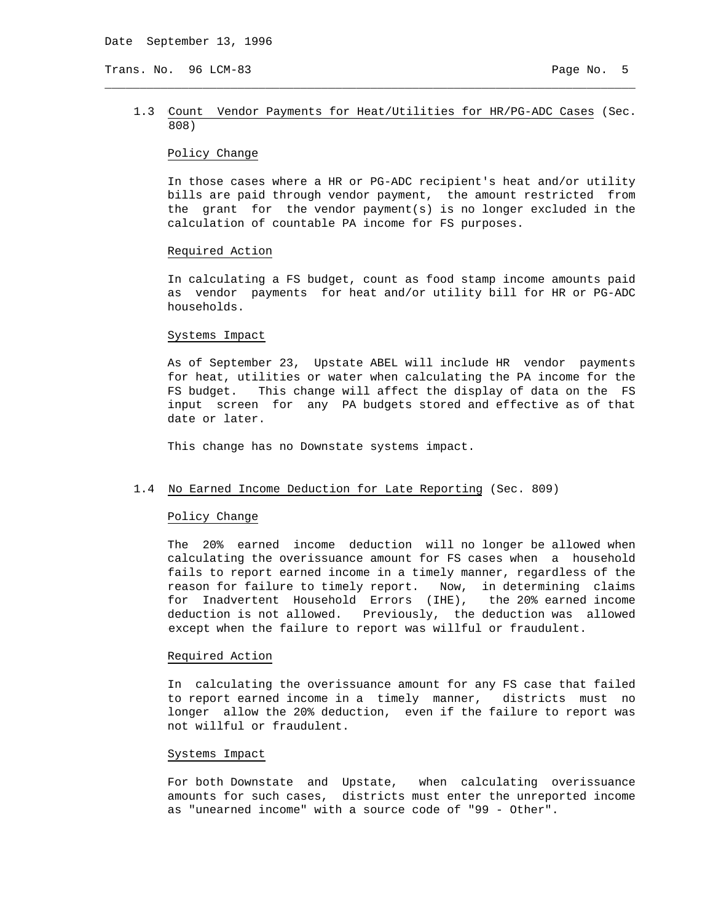## 1.3 Count Vendor Payments for Heat/Utilities for HR/PG-ADC Cases (Sec. 808)

\_\_\_\_\_\_\_\_\_\_\_\_\_\_\_\_\_\_\_\_\_\_\_\_\_\_\_\_\_\_\_\_\_\_\_\_\_\_\_\_\_\_\_\_\_\_\_\_\_\_\_\_\_\_\_\_\_\_\_\_\_\_\_\_\_\_\_\_\_\_\_\_\_\_\_\_

# Policy Change

 In those cases where a HR or PG-ADC recipient's heat and/or utility bills are paid through vendor payment, the amount restricted from the grant for the vendor payment(s) is no longer excluded in the calculation of countable PA income for FS purposes.

#### Required Action

 In calculating a FS budget, count as food stamp income amounts paid as vendor payments for heat and/or utility bill for HR or PG-ADC households.

#### Systems Impact

 As of September 23, Upstate ABEL will include HR vendor payments for heat, utilities or water when calculating the PA income for the FS budget. This change will affect the display of data on the FS input screen for any PA budgets stored and effective as of that date or later.

This change has no Downstate systems impact.

## 1.4 No Earned Income Deduction for Late Reporting (Sec. 809)

# Policy Change

 The 20% earned income deduction will no longer be allowed when calculating the overissuance amount for FS cases when a household fails to report earned income in a timely manner, regardless of the reason for failure to timely report. Now, in determining claims for Inadvertent Household Errors (IHE), the 20% earned income deduction is not allowed. Previously, the deduction was allowed except when the failure to report was willful or fraudulent.

#### Required Action

 In calculating the overissuance amount for any FS case that failed to report earned income in a timely manner, districts must no longer allow the 20% deduction, even if the failure to report was not willful or fraudulent.

## Systems Impact

 For both Downstate and Upstate, when calculating overissuance amounts for such cases, districts must enter the unreported income as "unearned income" with a source code of "99 - Other".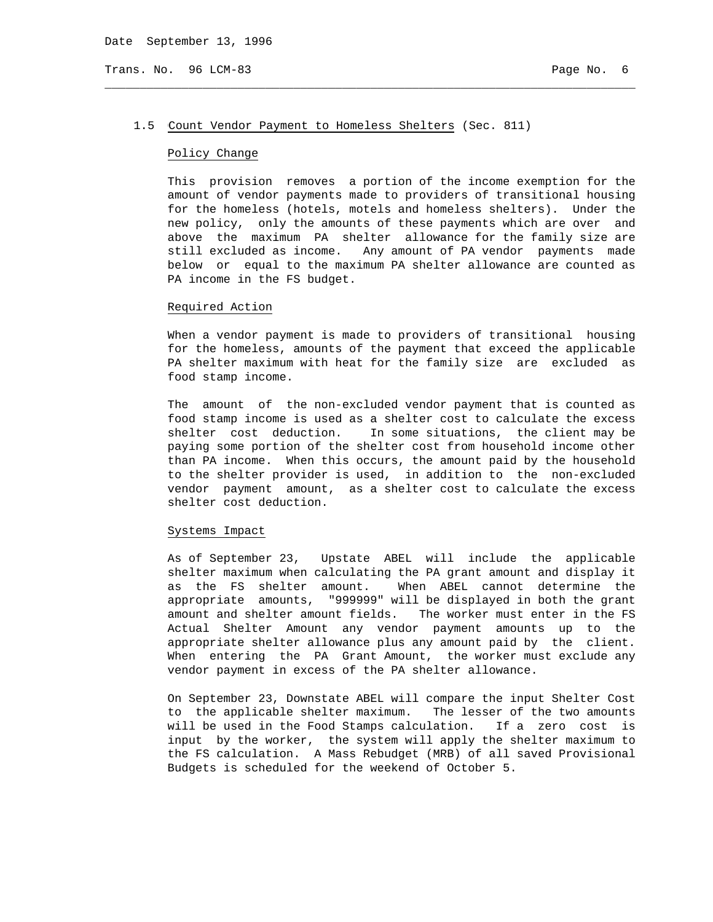#### 1.5 Count Vendor Payment to Homeless Shelters (Sec. 811)

\_\_\_\_\_\_\_\_\_\_\_\_\_\_\_\_\_\_\_\_\_\_\_\_\_\_\_\_\_\_\_\_\_\_\_\_\_\_\_\_\_\_\_\_\_\_\_\_\_\_\_\_\_\_\_\_\_\_\_\_\_\_\_\_\_\_\_\_\_\_\_\_\_\_\_\_

# Policy Change

 This provision removes a portion of the income exemption for the amount of vendor payments made to providers of transitional housing for the homeless (hotels, motels and homeless shelters). Under the new policy, only the amounts of these payments which are over and above the maximum PA shelter allowance for the family size are still excluded as income. Any amount of PA vendor payments made below or equal to the maximum PA shelter allowance are counted as PA income in the FS budget.

## Required Action

 When a vendor payment is made to providers of transitional housing for the homeless, amounts of the payment that exceed the applicable PA shelter maximum with heat for the family size are excluded as food stamp income.

 The amount of the non-excluded vendor payment that is counted as food stamp income is used as a shelter cost to calculate the excess shelter cost deduction. In some situations, the client may be paying some portion of the shelter cost from household income other than PA income. When this occurs, the amount paid by the household to the shelter provider is used, in addition to the non-excluded vendor payment amount, as a shelter cost to calculate the excess shelter cost deduction.

## Systems Impact

 As of September 23, Upstate ABEL will include the applicable shelter maximum when calculating the PA grant amount and display it as the FS shelter amount. When ABEL cannot determine the appropriate amounts, "999999" will be displayed in both the grant amount and shelter amount fields. The worker must enter in the FS Actual Shelter Amount any vendor payment amounts up to the appropriate shelter allowance plus any amount paid by the client. When entering the PA Grant Amount, the worker must exclude any vendor payment in excess of the PA shelter allowance.

 On September 23, Downstate ABEL will compare the input Shelter Cost to the applicable shelter maximum. The lesser of the two amounts will be used in the Food Stamps calculation. If a zero cost is input by the worker, the system will apply the shelter maximum to the FS calculation. A Mass Rebudget (MRB) of all saved Provisional Budgets is scheduled for the weekend of October 5.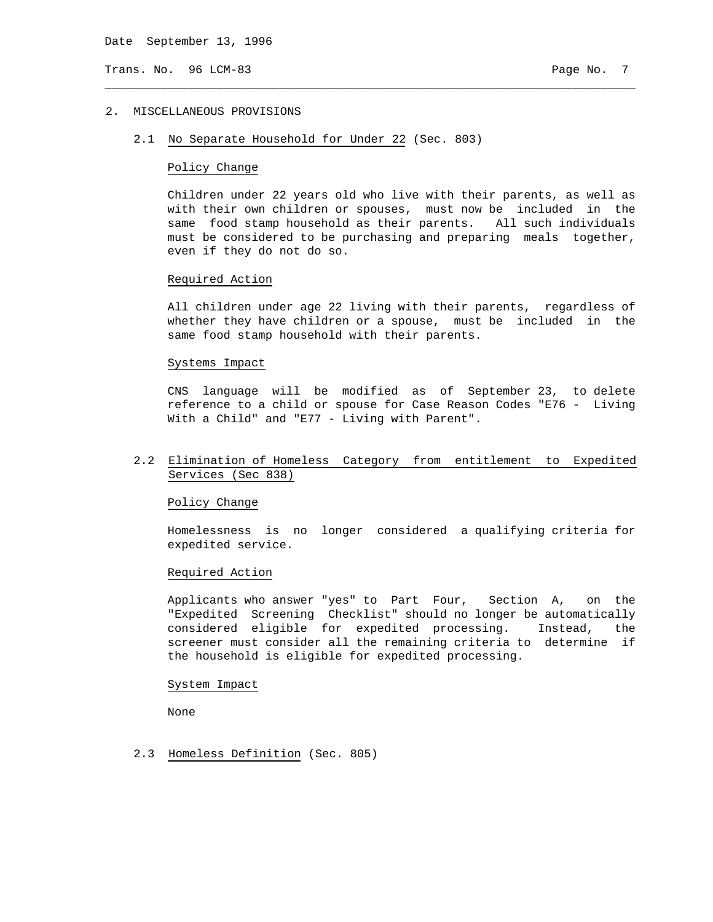# 2. MISCELLANEOUS PROVISIONS

2.1 No Separate Household for Under 22 (Sec. 803)

## Policy Change

 Children under 22 years old who live with their parents, as well as with their own children or spouses, must now be included in the same food stamp household as their parents. All such individuals must be considered to be purchasing and preparing meals together, even if they do not do so.

\_\_\_\_\_\_\_\_\_\_\_\_\_\_\_\_\_\_\_\_\_\_\_\_\_\_\_\_\_\_\_\_\_\_\_\_\_\_\_\_\_\_\_\_\_\_\_\_\_\_\_\_\_\_\_\_\_\_\_\_\_\_\_\_\_\_\_\_\_\_\_\_\_\_\_\_

#### Required Action

 All children under age 22 living with their parents, regardless of whether they have children or a spouse, must be included in the same food stamp household with their parents.

## Systems Impact

 CNS language will be modified as of September 23, to delete reference to a child or spouse for Case Reason Codes "E76 - Living With a Child" and "E77 - Living with Parent".

# 2.2 Elimination of Homeless Category from entitlement to Expedited Services (Sec 838)

#### Policy Change

 Homelessness is no longer considered a qualifying criteria for expedited service.

#### Required Action

 Applicants who answer "yes" to Part Four, Section A, on the "Expedited Screening Checklist" should no longer be automatically considered eligible for expedited processing. Instead, the screener must consider all the remaining criteria to determine if the household is eligible for expedited processing.

#### System Impact

None

2.3 Homeless Definition (Sec. 805)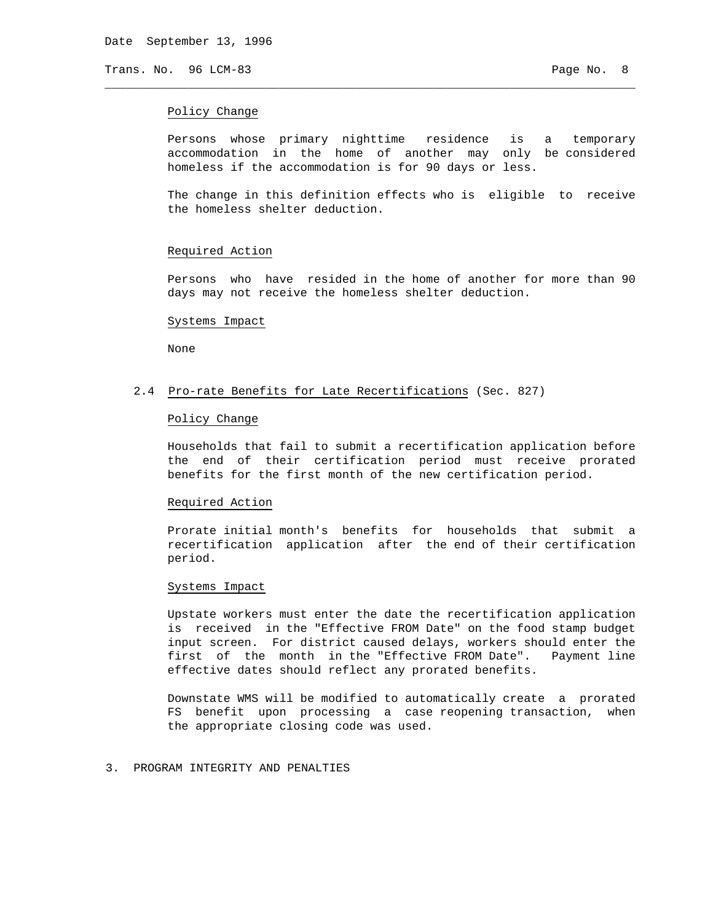## Policy Change

 Persons whose primary nighttime residence is a temporary accommodation in the home of another may only be considered homeless if the accommodation is for 90 days or less.

\_\_\_\_\_\_\_\_\_\_\_\_\_\_\_\_\_\_\_\_\_\_\_\_\_\_\_\_\_\_\_\_\_\_\_\_\_\_\_\_\_\_\_\_\_\_\_\_\_\_\_\_\_\_\_\_\_\_\_\_\_\_\_\_\_\_\_\_\_\_\_\_\_\_\_\_

 The change in this definition effects who is eligible to receive the homeless shelter deduction.

#### Required Action

 Persons who have resided in the home of another for more than 90 days may not receive the homeless shelter deduction.

#### Systems Impact

None

## 2.4 Pro-rate Benefits for Late Recertifications (Sec. 827)

#### Policy Change

 Households that fail to submit a recertification application before the end of their certification period must receive prorated benefits for the first month of the new certification period.

#### Required Action

 Prorate initial month's benefits for households that submit a recertification application after the end of their certification period.

## Systems Impact

 Upstate workers must enter the date the recertification application is received in the "Effective FROM Date" on the food stamp budget input screen. For district caused delays, workers should enter the first of the month in the "Effective FROM Date". Payment line effective dates should reflect any prorated benefits.

 Downstate WMS will be modified to automatically create a prorated FS benefit upon processing a case reopening transaction, when the appropriate closing code was used.

## 3. PROGRAM INTEGRITY AND PENALTIES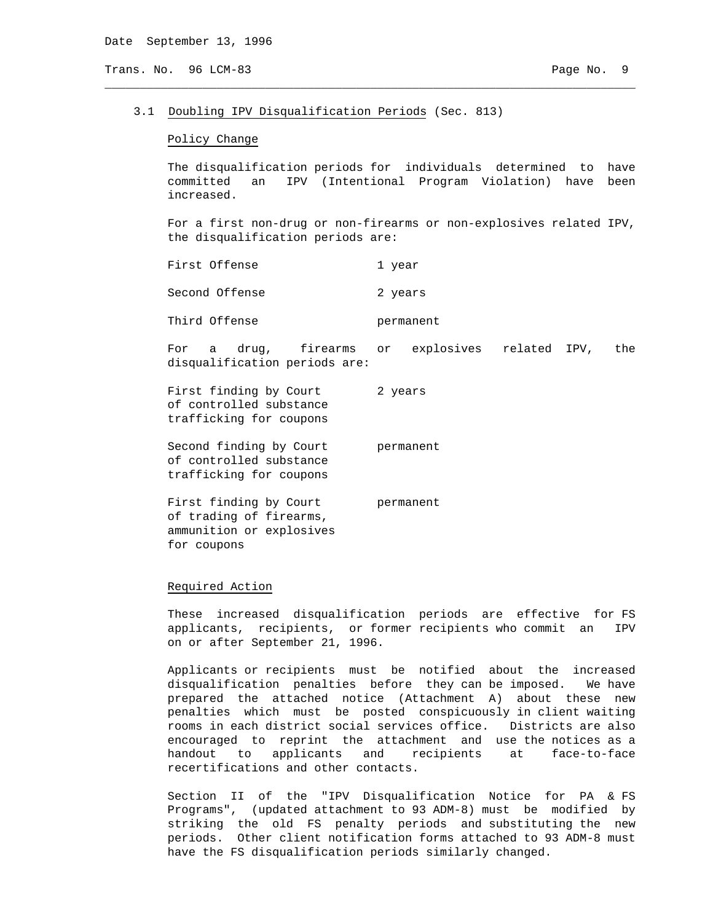## 3.1 Doubling IPV Disqualification Periods (Sec. 813)

## Policy Change

 The disqualification periods for individuals determined to have committed an IPV (Intentional Program Violation) have been increased.

\_\_\_\_\_\_\_\_\_\_\_\_\_\_\_\_\_\_\_\_\_\_\_\_\_\_\_\_\_\_\_\_\_\_\_\_\_\_\_\_\_\_\_\_\_\_\_\_\_\_\_\_\_\_\_\_\_\_\_\_\_\_\_\_\_\_\_\_\_\_\_\_\_\_\_\_

 For a first non-drug or non-firearms or non-explosives related IPV, the disqualification periods are:

| First Offense | l year |
|---------------|--------|
|---------------|--------|

Second Offense 2 years

Third Offense **permanent** 

 For a drug, firearms or explosives related IPV, the disqualification periods are:

First finding by Court 2 years of controlled substance trafficking for coupons

Second finding by Court permanent of controlled substance trafficking for coupons

First finding by Court permanent of trading of firearms, ammunition or explosives for coupons

#### Required Action

 These increased disqualification periods are effective for FS applicants, recipients, or former recipients who commit an IPV on or after September 21, 1996.

 Applicants or recipients must be notified about the increased disqualification penalties before they can be imposed. We have prepared the attached notice (Attachment A) about these new penalties which must be posted conspicuously in client waiting rooms in each district social services office. Districts are also encouraged to reprint the attachment and use the notices as a handout to applicants and recipients at face-to-face recertifications and other contacts.

 Section II of the "IPV Disqualification Notice for PA & FS Programs", (updated attachment to 93 ADM-8) must be modified by striking the old FS penalty periods and substituting the new periods. Other client notification forms attached to 93 ADM-8 must have the FS disqualification periods similarly changed.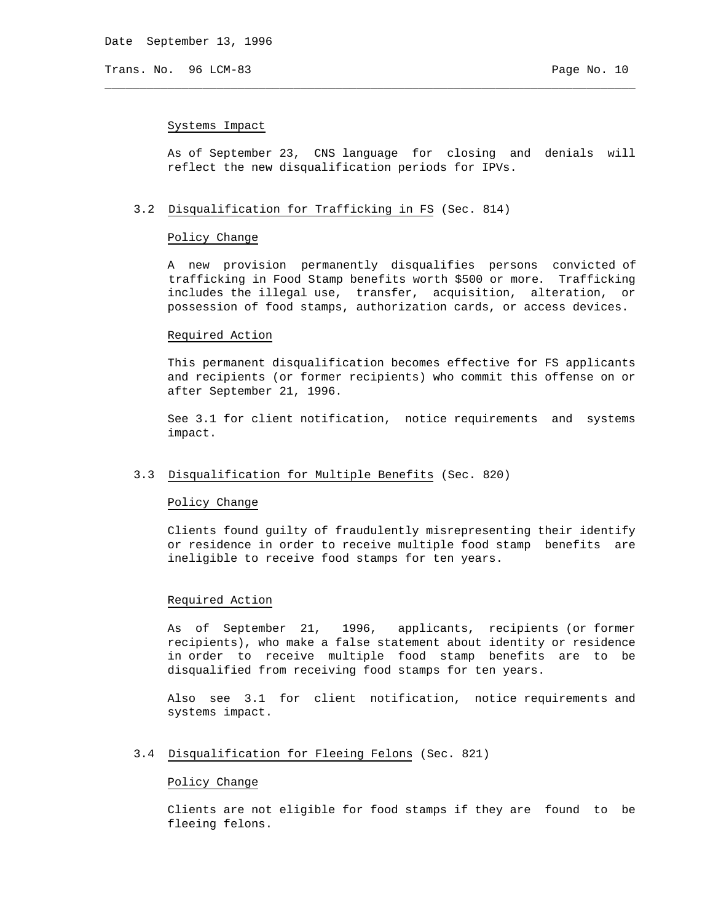## Systems Impact

 As of September 23, CNS language for closing and denials will reflect the new disqualification periods for IPVs.

\_\_\_\_\_\_\_\_\_\_\_\_\_\_\_\_\_\_\_\_\_\_\_\_\_\_\_\_\_\_\_\_\_\_\_\_\_\_\_\_\_\_\_\_\_\_\_\_\_\_\_\_\_\_\_\_\_\_\_\_\_\_\_\_\_\_\_\_\_\_\_\_\_\_\_\_

# 3.2 Disqualification for Trafficking in FS (Sec. 814)

# Policy Change

 A new provision permanently disqualifies persons convicted of trafficking in Food Stamp benefits worth \$500 or more. Trafficking includes the illegal use, transfer, acquisition, alteration, or possession of food stamps, authorization cards, or access devices.

## Required Action

 This permanent disqualification becomes effective for FS applicants and recipients (or former recipients) who commit this offense on or after September 21, 1996.

 See 3.1 for client notification, notice requirements and systems impact.

# 3.3 Disqualification for Multiple Benefits (Sec. 820)

#### Policy Change

 Clients found guilty of fraudulently misrepresenting their identify or residence in order to receive multiple food stamp benefits are ineligible to receive food stamps for ten years.

# Required Action

 As of September 21, 1996, applicants, recipients (or former recipients), who make a false statement about identity or residence in order to receive multiple food stamp benefits are to be disqualified from receiving food stamps for ten years.

 Also see 3.1 for client notification, notice requirements and systems impact.

# 3.4 Disqualification for Fleeing Felons (Sec. 821)

#### Policy Change

 Clients are not eligible for food stamps if they are found to be fleeing felons.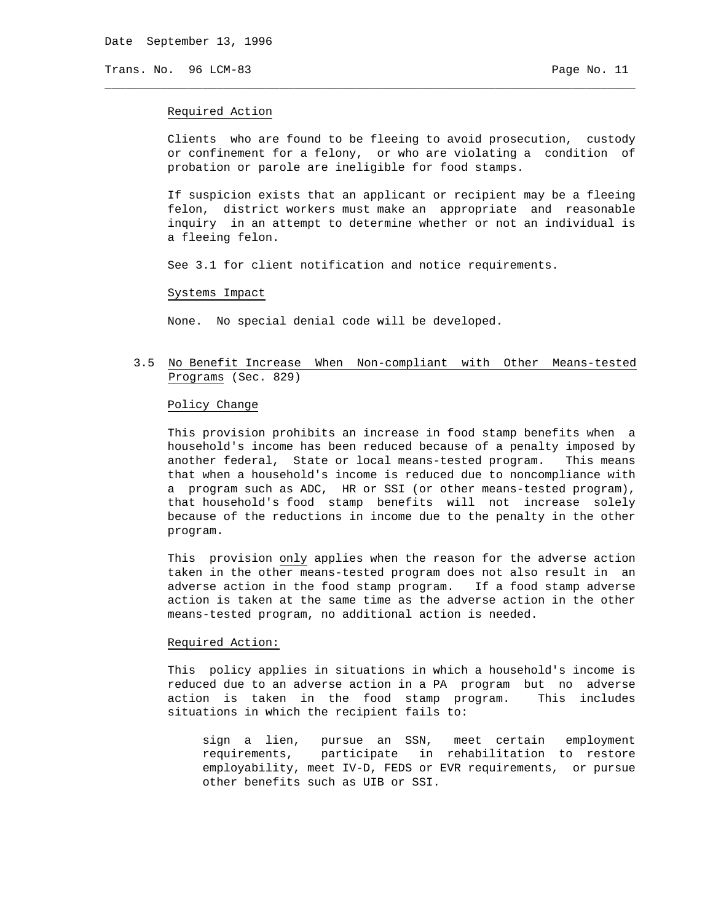#### Required Action

 Clients who are found to be fleeing to avoid prosecution, custody or confinement for a felony, or who are violating a condition of probation or parole are ineligible for food stamps.

 If suspicion exists that an applicant or recipient may be a fleeing felon, district workers must make an appropriate and reasonable inquiry in an attempt to determine whether or not an individual is a fleeing felon.

See 3.1 for client notification and notice requirements.

\_\_\_\_\_\_\_\_\_\_\_\_\_\_\_\_\_\_\_\_\_\_\_\_\_\_\_\_\_\_\_\_\_\_\_\_\_\_\_\_\_\_\_\_\_\_\_\_\_\_\_\_\_\_\_\_\_\_\_\_\_\_\_\_\_\_\_\_\_\_\_\_\_\_\_\_

## Systems Impact

None. No special denial code will be developed.

# 3.5 No Benefit Increase When Non-compliant with Other Means-tested Programs (Sec. 829)

# Policy Change

 This provision prohibits an increase in food stamp benefits when a household's income has been reduced because of a penalty imposed by another federal, State or local means-tested program. This means that when a household's income is reduced due to noncompliance with a program such as ADC, HR or SSI (or other means-tested program), that household's food stamp benefits will not increase solely because of the reductions in income due to the penalty in the other program.

 This provision only applies when the reason for the adverse action taken in the other means-tested program does not also result in an adverse action in the food stamp program. If a food stamp adverse action is taken at the same time as the adverse action in the other means-tested program, no additional action is needed.

#### Required Action:

 This policy applies in situations in which a household's income is reduced due to an adverse action in a PA program but no adverse action is taken in the food stamp program. This includes situations in which the recipient fails to:

 sign a lien, pursue an SSN, meet certain employment requirements, participate in rehabilitation to restore employability, meet IV-D, FEDS or EVR requirements, or pursue other benefits such as UIB or SSI.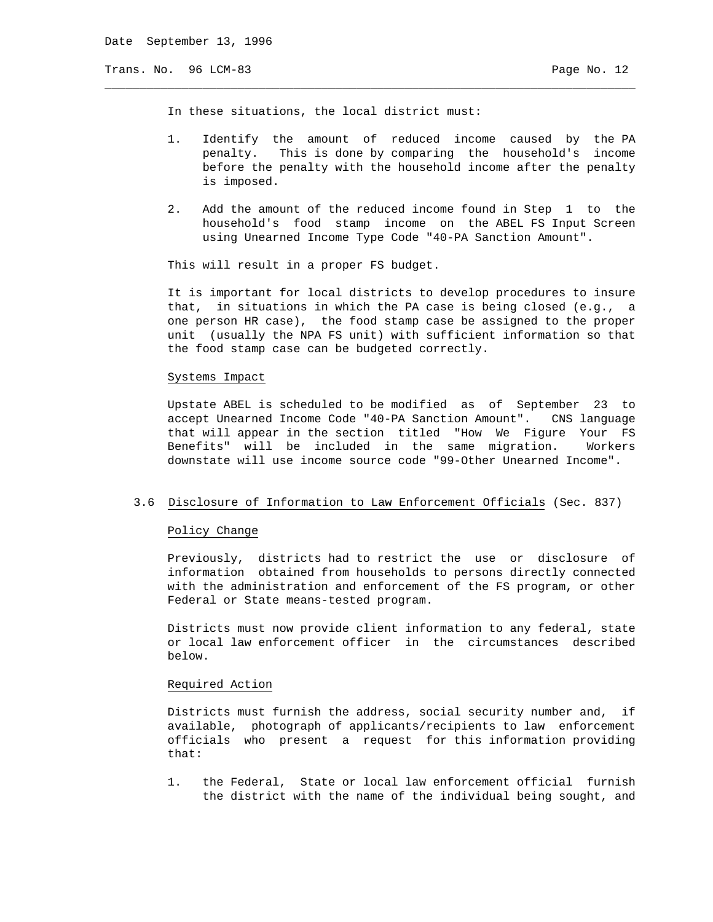In these situations, the local district must:

 1. Identify the amount of reduced income caused by the PA penalty. This is done by comparing the household's income before the penalty with the household income after the penalty is imposed.

\_\_\_\_\_\_\_\_\_\_\_\_\_\_\_\_\_\_\_\_\_\_\_\_\_\_\_\_\_\_\_\_\_\_\_\_\_\_\_\_\_\_\_\_\_\_\_\_\_\_\_\_\_\_\_\_\_\_\_\_\_\_\_\_\_\_\_\_\_\_\_\_\_\_\_\_

 2. Add the amount of the reduced income found in Step 1 to the household's food stamp income on the ABEL FS Input Screen using Unearned Income Type Code "40-PA Sanction Amount".

This will result in a proper FS budget.

 It is important for local districts to develop procedures to insure that, in situations in which the PA case is being closed (e.g., a one person HR case), the food stamp case be assigned to the proper unit (usually the NPA FS unit) with sufficient information so that the food stamp case can be budgeted correctly.

## Systems Impact

 Upstate ABEL is scheduled to be modified as of September 23 to accept Unearned Income Code "40-PA Sanction Amount". CNS language that will appear in the section titled "How We Figure Your FS Benefits" will be included in the same migration. Workers downstate will use income source code "99-Other Unearned Income".

## 3.6 Disclosure of Information to Law Enforcement Officials (Sec. 837)

#### Policy Change

 Previously, districts had to restrict the use or disclosure of information obtained from households to persons directly connected with the administration and enforcement of the FS program, or other Federal or State means-tested program.

 Districts must now provide client information to any federal, state or local law enforcement officer in the circumstances described below.

## Required Action

 Districts must furnish the address, social security number and, if available, photograph of applicants/recipients to law enforcement officials who present a request for this information providing that:

 1. the Federal, State or local law enforcement official furnish the district with the name of the individual being sought, and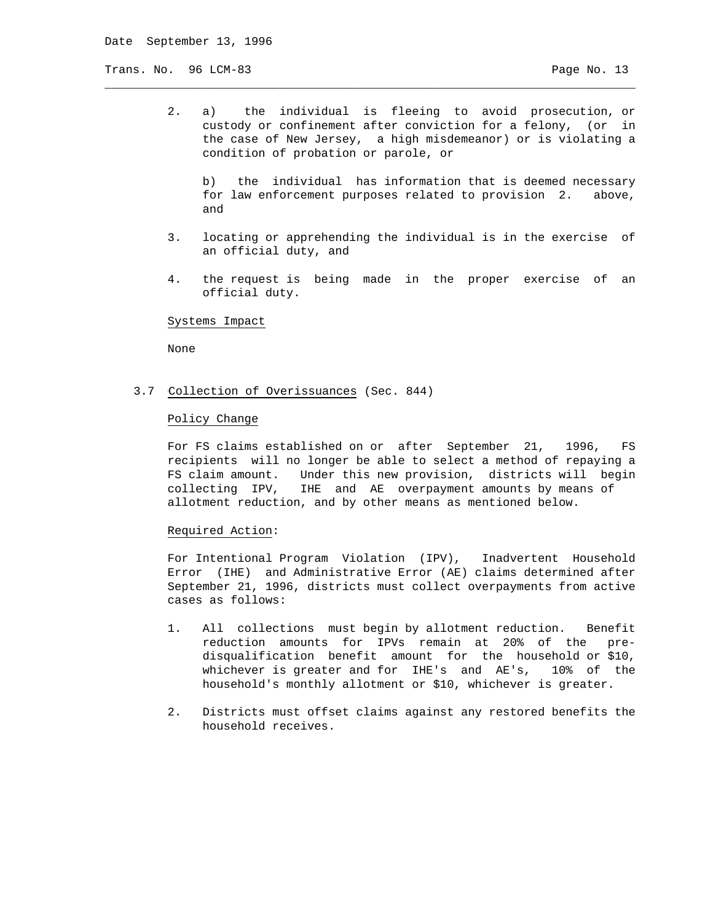2. a) the individual is fleeing to avoid prosecution, or custody or confinement after conviction for a felony, (or in the case of New Jersey, a high misdemeanor) or is violating a condition of probation or parole, or

\_\_\_\_\_\_\_\_\_\_\_\_\_\_\_\_\_\_\_\_\_\_\_\_\_\_\_\_\_\_\_\_\_\_\_\_\_\_\_\_\_\_\_\_\_\_\_\_\_\_\_\_\_\_\_\_\_\_\_\_\_\_\_\_\_\_\_\_\_\_\_\_\_\_\_\_

 b) the individual has information that is deemed necessary for law enforcement purposes related to provision 2. above, and

- 3. locating or apprehending the individual is in the exercise of an official duty, and
- 4. the request is being made in the proper exercise of an official duty.

#### Systems Impact

None

3.7 Collection of Overissuances (Sec. 844)

## Policy Change

 For FS claims established on or after September 21, 1996, FS recipients will no longer be able to select a method of repaying a FS claim amount. Under this new provision, districts will begin collecting IPV, IHE and AE overpayment amounts by means of allotment reduction, and by other means as mentioned below.

## Required Action:

 For Intentional Program Violation (IPV), Inadvertent Household Error (IHE) and Administrative Error (AE) claims determined after September 21, 1996, districts must collect overpayments from active cases as follows:

- 1. All collections must begin by allotment reduction. Benefit reduction amounts for IPVs remain at 20% of the pre disqualification benefit amount for the household or \$10, whichever is greater and for IHE's and AE's, 10% of the household's monthly allotment or \$10, whichever is greater.
- 2. Districts must offset claims against any restored benefits the household receives.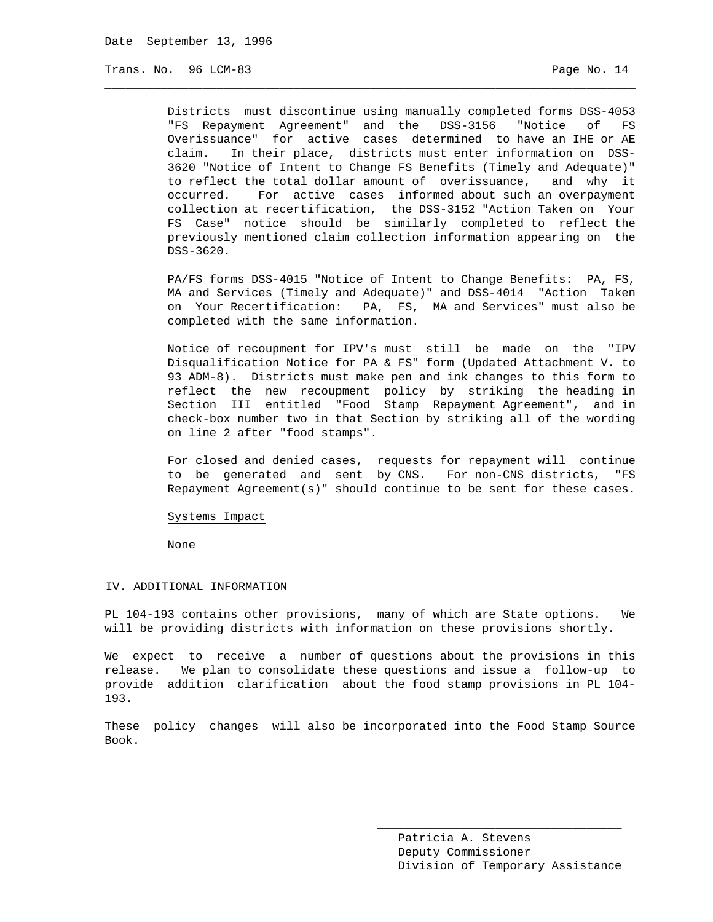Districts must discontinue using manually completed forms DSS-4053 "FS Repayment Agreement" and the DSS-3156 "Notice of FS Overissuance" for active cases determined to have an IHE or AE claim. In their place, districts must enter information on DSS- 3620 "Notice of Intent to Change FS Benefits (Timely and Adequate)" to reflect the total dollar amount of overissuance, and why it occurred. For active cases informed about such an overpayment collection at recertification, the DSS-3152 "Action Taken on Your FS Case" notice should be similarly completed to reflect the previously mentioned claim collection information appearing on the DSS-3620.

\_\_\_\_\_\_\_\_\_\_\_\_\_\_\_\_\_\_\_\_\_\_\_\_\_\_\_\_\_\_\_\_\_\_\_\_\_\_\_\_\_\_\_\_\_\_\_\_\_\_\_\_\_\_\_\_\_\_\_\_\_\_\_\_\_\_\_\_\_\_\_\_\_\_\_\_

 PA/FS forms DSS-4015 "Notice of Intent to Change Benefits: PA, FS, MA and Services (Timely and Adequate)" and DSS-4014 "Action Taken on Your Recertification: PA, FS, MA and Services" must also be completed with the same information.

 Notice of recoupment for IPV's must still be made on the "IPV Disqualification Notice for PA & FS" form (Updated Attachment V. to 93 ADM-8). Districts must make pen and ink changes to this form to reflect the new recoupment policy by striking the heading in Section III entitled "Food Stamp Repayment Agreement", and in check-box number two in that Section by striking all of the wording on line 2 after "food stamps".

 For closed and denied cases, requests for repayment will continue to be generated and sent by CNS. For non-CNS districts, "FS Repayment Agreement(s)" should continue to be sent for these cases.

## Systems Impact

None

#### IV. ADDITIONAL INFORMATION

PL 104-193 contains other provisions, many of which are State options. We will be providing districts with information on these provisions shortly.

We expect to receive a number of questions about the provisions in this release. We plan to consolidate these questions and issue a follow-up to provide addition clarification about the food stamp provisions in PL 104- 193.

These policy changes will also be incorporated into the Food Stamp Source Book.

 $\overline{\phantom{a}}$  , and the state of the state of the state of the state of the state of the state of the state of the state of the state of the state of the state of the state of the state of the state of the state of the stat